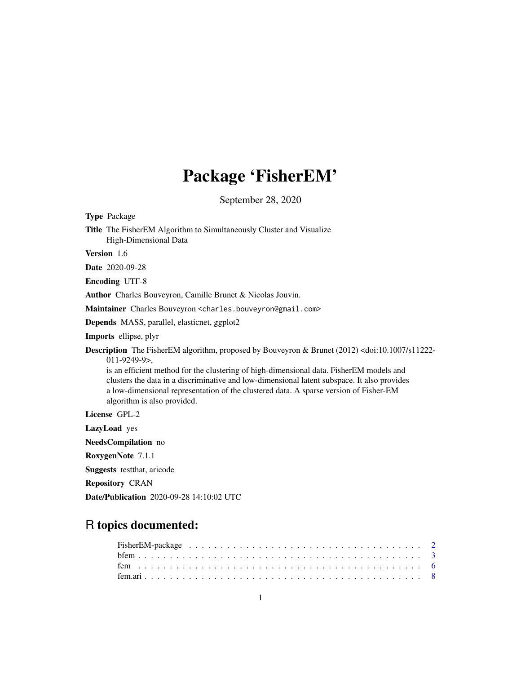## Package 'FisherEM'

September 28, 2020

| <b>Type Package</b>                                                                                                                                                                                                                                                                                                                                                                                                                                                          |
|------------------------------------------------------------------------------------------------------------------------------------------------------------------------------------------------------------------------------------------------------------------------------------------------------------------------------------------------------------------------------------------------------------------------------------------------------------------------------|
| Title The FisherEM Algorithm to Simultaneously Cluster and Visualize<br>High-Dimensional Data                                                                                                                                                                                                                                                                                                                                                                                |
| Version 1.6                                                                                                                                                                                                                                                                                                                                                                                                                                                                  |
| Date 2020-09-28                                                                                                                                                                                                                                                                                                                                                                                                                                                              |
| <b>Encoding UTF-8</b>                                                                                                                                                                                                                                                                                                                                                                                                                                                        |
| Author Charles Bouveyron, Camille Brunet & Nicolas Jouvin.                                                                                                                                                                                                                                                                                                                                                                                                                   |
| Maintainer Charles Bouveyron <charles.bouveyron@gmail.com></charles.bouveyron@gmail.com>                                                                                                                                                                                                                                                                                                                                                                                     |
| Depends MASS, parallel, elasticnet, ggplot2                                                                                                                                                                                                                                                                                                                                                                                                                                  |
| Imports ellipse, plyr                                                                                                                                                                                                                                                                                                                                                                                                                                                        |
| <b>Description</b> The FisherEM algorithm, proposed by Bouveyron & Brunet (2012) <doi:10.1007 s11222-<br=""><math>011 - 9249 - 9</math>,<br/>is an efficient method for the clustering of high-dimensional data. FisherEM models and<br/>clusters the data in a discriminative and low-dimensional latent subspace. It also provides<br/>a low-dimensional representation of the clustered data. A sparse version of Fisher-EM<br/>algorithm is also provided.</doi:10.1007> |
| License GPL-2                                                                                                                                                                                                                                                                                                                                                                                                                                                                |
| LazyLoad yes                                                                                                                                                                                                                                                                                                                                                                                                                                                                 |
| NeedsCompilation no                                                                                                                                                                                                                                                                                                                                                                                                                                                          |
| RoxygenNote 7.1.1                                                                                                                                                                                                                                                                                                                                                                                                                                                            |
| <b>Suggests</b> test that, aricode                                                                                                                                                                                                                                                                                                                                                                                                                                           |
| <b>Repository CRAN</b>                                                                                                                                                                                                                                                                                                                                                                                                                                                       |
| <b>Date/Publication</b> 2020-09-28 14:10:02 UTC                                                                                                                                                                                                                                                                                                                                                                                                                              |

## R topics documented:

| Fisher EM-package $\ldots \ldots \ldots \ldots \ldots \ldots \ldots \ldots \ldots \ldots \ldots \ldots \ldots 2$ |  |  |  |  |  |  |  |  |  |  |  |  |  |  |  |  |  |  |  |  |  |  |
|------------------------------------------------------------------------------------------------------------------|--|--|--|--|--|--|--|--|--|--|--|--|--|--|--|--|--|--|--|--|--|--|
|                                                                                                                  |  |  |  |  |  |  |  |  |  |  |  |  |  |  |  |  |  |  |  |  |  |  |
|                                                                                                                  |  |  |  |  |  |  |  |  |  |  |  |  |  |  |  |  |  |  |  |  |  |  |
|                                                                                                                  |  |  |  |  |  |  |  |  |  |  |  |  |  |  |  |  |  |  |  |  |  |  |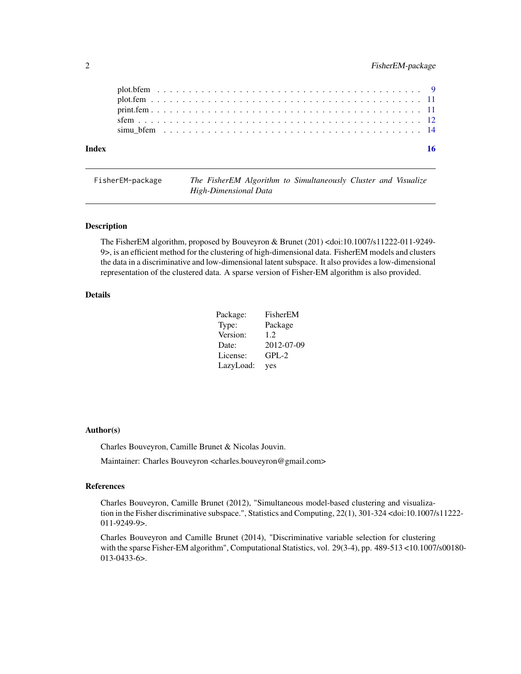<span id="page-1-0"></span>

| Index |  |  |  |  |  |  |  |  |  |  |  |  |  |  |  |  |  |  |  |  |  |
|-------|--|--|--|--|--|--|--|--|--|--|--|--|--|--|--|--|--|--|--|--|--|
|       |  |  |  |  |  |  |  |  |  |  |  |  |  |  |  |  |  |  |  |  |  |
|       |  |  |  |  |  |  |  |  |  |  |  |  |  |  |  |  |  |  |  |  |  |
|       |  |  |  |  |  |  |  |  |  |  |  |  |  |  |  |  |  |  |  |  |  |
|       |  |  |  |  |  |  |  |  |  |  |  |  |  |  |  |  |  |  |  |  |  |
|       |  |  |  |  |  |  |  |  |  |  |  |  |  |  |  |  |  |  |  |  |  |

| FisherEM-package | The FisherEM Algorithm to Simultaneously Cluster and Visualize |  |
|------------------|----------------------------------------------------------------|--|
|                  | High-Dimensional Data                                          |  |

The FisherEM algorithm, proposed by Bouveyron & Brunet (201) <doi:10.1007/s11222-011-9249- 9>, is an efficient method for the clustering of high-dimensional data. FisherEM models and clusters the data in a discriminative and low-dimensional latent subspace. It also provides a low-dimensional representation of the clustered data. A sparse version of Fisher-EM algorithm is also provided.

#### Details

| Package:  | FisherEM   |
|-----------|------------|
| Type:     | Package    |
| Version:  | 1.2.       |
| Date:     | 2012-07-09 |
| License:  | $GPL-2$    |
| LazyLoad: | yes        |

#### Author(s)

Charles Bouveyron, Camille Brunet & Nicolas Jouvin.

Maintainer: Charles Bouveyron <charles.bouveyron@gmail.com>

#### References

Charles Bouveyron, Camille Brunet (2012), "Simultaneous model-based clustering and visualization in the Fisher discriminative subspace.", Statistics and Computing, 22(1), 301-324 <doi:10.1007/s11222- 011-9249-9>.

Charles Bouveyron and Camille Brunet (2014), "Discriminative variable selection for clustering with the sparse Fisher-EM algorithm", Computational Statistics, vol. 29(3-4), pp. 489-513 <10.1007/s00180-013-0433-6>.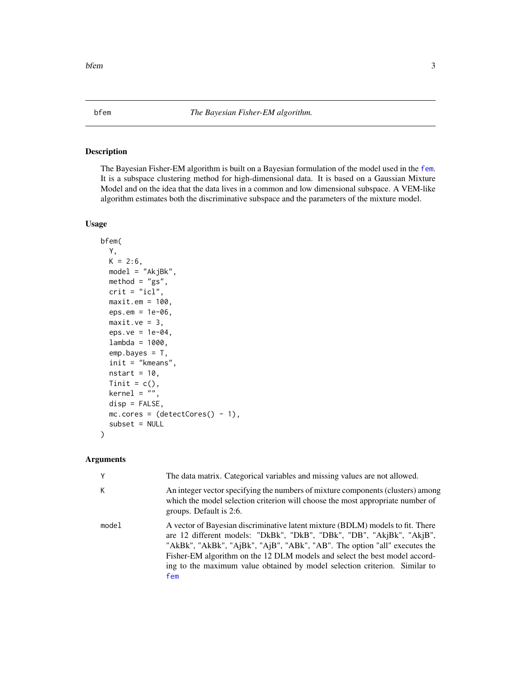<span id="page-2-1"></span><span id="page-2-0"></span>The Bayesian Fisher-EM algorithm is built on a Bayesian formulation of the model used in the [fem](#page-5-1). It is a subspace clustering method for high-dimensional data. It is based on a Gaussian Mixture Model and on the idea that the data lives in a common and low dimensional subspace. A VEM-like algorithm estimates both the discriminative subspace and the parameters of the mixture model.

#### Usage

```
bfem(
 Y,
 K = 2:6,
 model = "AkjBk",method = "gs",crit = "icl",maxit.em = 100,eps.em = 1e-06,
 maxit.ve = 3,
  eps.ve = 1e-04,lambda = 1000,emp.bayes = T,
  init = "kmeans",
  nstart = 10,
  Tinit = c(),
  kernel = ",
  disp = FALSE,
 mc.core = (detectCores() - 1),
  subset = NULL)
```

| Y     | The data matrix. Categorical variables and missing values are not allowed.                                                                                                                                                                                                                                                                                                                              |
|-------|---------------------------------------------------------------------------------------------------------------------------------------------------------------------------------------------------------------------------------------------------------------------------------------------------------------------------------------------------------------------------------------------------------|
| К     | An integer vector specifying the numbers of mixture components (clusters) among<br>which the model selection criterion will choose the most appropriate number of<br>groups. Default is 2:6.                                                                                                                                                                                                            |
| model | A vector of Bayesian discriminative latent mixture (BDLM) models to fit. There<br>are 12 different models: "DkBk", "DkB", "DBk", "DB", "AkjBk", "AkjB",<br>"AkBk", "AkBk", "AjBk", "AjB", "ABk", "AB". The option "all" executes the<br>Fisher-EM algorithm on the 12 DLM models and select the best model accord-<br>ing to the maximum value obtained by model selection criterion. Similar to<br>fem |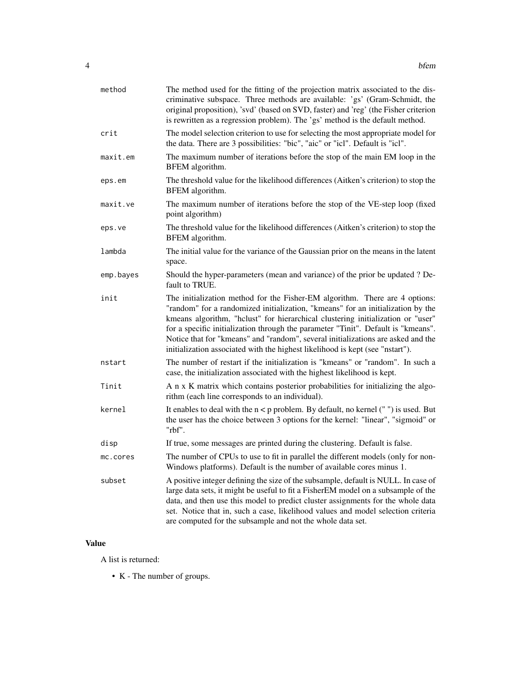| method    | The method used for the fitting of the projection matrix associated to the dis-<br>criminative subspace. Three methods are available: 'gs' (Gram-Schmidt, the<br>original proposition), 'svd' (based on SVD, faster) and 'reg' (the Fisher criterion<br>is rewritten as a regression problem). The 'gs' method is the default method.                                                                                                                                                                       |
|-----------|-------------------------------------------------------------------------------------------------------------------------------------------------------------------------------------------------------------------------------------------------------------------------------------------------------------------------------------------------------------------------------------------------------------------------------------------------------------------------------------------------------------|
| crit      | The model selection criterion to use for selecting the most appropriate model for<br>the data. There are 3 possibilities: "bic", "aic" or "icl". Default is "icl".                                                                                                                                                                                                                                                                                                                                          |
| maxit.em  | The maximum number of iterations before the stop of the main EM loop in the<br>BFEM algorithm.                                                                                                                                                                                                                                                                                                                                                                                                              |
| eps.em    | The threshold value for the likelihood differences (Aitken's criterion) to stop the<br>BFEM algorithm.                                                                                                                                                                                                                                                                                                                                                                                                      |
| maxit.ve  | The maximum number of iterations before the stop of the VE-step loop (fixed<br>point algorithm)                                                                                                                                                                                                                                                                                                                                                                                                             |
| eps.ve    | The threshold value for the likelihood differences (Aitken's criterion) to stop the<br>BFEM algorithm.                                                                                                                                                                                                                                                                                                                                                                                                      |
| lambda    | The initial value for the variance of the Gaussian prior on the means in the latent<br>space.                                                                                                                                                                                                                                                                                                                                                                                                               |
| emp.bayes | Should the hyper-parameters (mean and variance) of the prior be updated ? De-<br>fault to TRUE.                                                                                                                                                                                                                                                                                                                                                                                                             |
| init      | The initialization method for the Fisher-EM algorithm. There are 4 options:<br>"random" for a randomized initialization, "kmeans" for an initialization by the<br>kmeans algorithm, "hclust" for hierarchical clustering initialization or "user"<br>for a specific initialization through the parameter "Tinit". Default is "kmeans".<br>Notice that for "kmeans" and "random", several initializations are asked and the<br>initialization associated with the highest likelihood is kept (see "nstart"). |
| nstart    | The number of restart if the initialization is "kmeans" or "random". In such a<br>case, the initialization associated with the highest likelihood is kept.                                                                                                                                                                                                                                                                                                                                                  |
| Tinit     | A n x K matrix which contains posterior probabilities for initializing the algo-<br>rithm (each line corresponds to an individual).                                                                                                                                                                                                                                                                                                                                                                         |
| kernel    | It enables to deal with the $n < p$ problem. By default, no kernel $("")$ is used. But<br>the user has the choice between 3 options for the kernel: "linear", "sigmoid" or<br>"rbf".                                                                                                                                                                                                                                                                                                                        |
| disp      | If true, some messages are printed during the clustering. Default is false.                                                                                                                                                                                                                                                                                                                                                                                                                                 |
| mc.cores  | The number of CPUs to use to fit in parallel the different models (only for non-<br>Windows platforms). Default is the number of available cores minus 1.                                                                                                                                                                                                                                                                                                                                                   |
| subset    | A positive integer defining the size of the subsample, default is NULL. In case of<br>large data sets, it might be useful to fit a FisherEM model on a subsample of the<br>data, and then use this model to predict cluster assignments for the whole data<br>set. Notice that in, such a case, likelihood values and model selection criteria<br>are computed for the subsample and not the whole data set.                                                                                                |

### Value

A list is returned:

• K - The number of groups.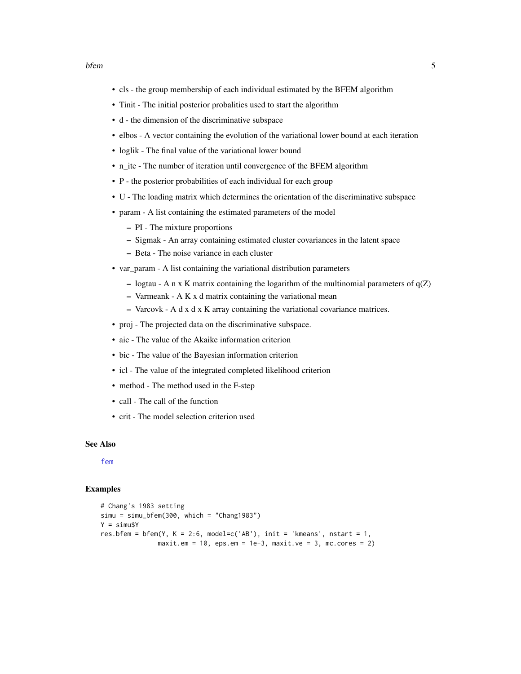- <span id="page-4-0"></span>• cls - the group membership of each individual estimated by the BFEM algorithm
- Tinit The initial posterior probalities used to start the algorithm
- d the dimension of the discriminative subspace
- elbos A vector containing the evolution of the variational lower bound at each iteration
- loglik The final value of the variational lower bound
- n\_ite The number of iteration until convergence of the BFEM algorithm
- P the posterior probabilities of each individual for each group
- U The loading matrix which determines the orientation of the discriminative subspace
- param A list containing the estimated parameters of the model
	- PI The mixture proportions
	- Sigmak An array containing estimated cluster covariances in the latent space
	- Beta The noise variance in each cluster
- var\_param A list containing the variational distribution parameters
	- logtau A n x K matrix containing the logarithm of the multinomial parameters of  $q(Z)$
	- Varmeank A K x d matrix containing the variational mean
	- Varcovk A d x d x K array containing the variational covariance matrices.
- proj The projected data on the discriminative subspace.
- aic The value of the Akaike information criterion
- bic The value of the Bayesian information criterion
- icl The value of the integrated completed likelihood criterion
- method The method used in the F-step
- call The call of the function
- crit The model selection criterion used

#### See Also

[fem](#page-5-1)

#### Examples

```
# Chang's 1983 setting
simu = simu_bfem(300, which = "Chang1983")
Y = simu$Y
res.bfem = bfem(Y, K = 2:6, model=c('AB'), init = 'kmeans', nstart = 1,
               maxit.em = 10, eps.em = 1e-3, maxit.ve = 3, mc.cores = 2)
```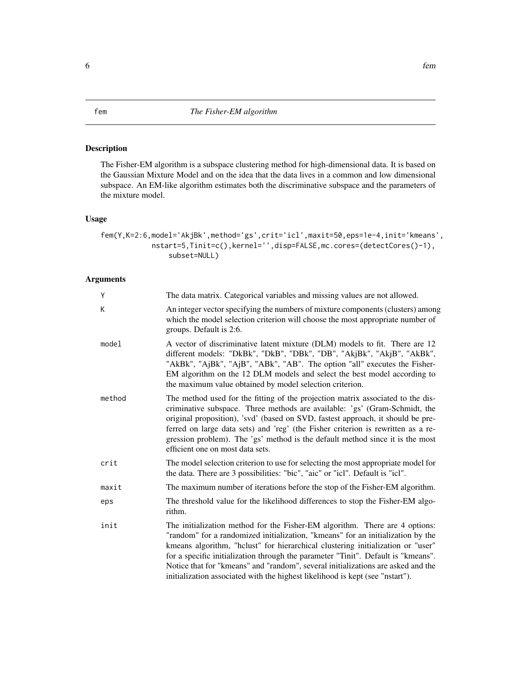<span id="page-5-1"></span><span id="page-5-0"></span>The Fisher-EM algorithm is a subspace clustering method for high-dimensional data. It is based on the Gaussian Mixture Model and on the idea that the data lives in a common and low dimensional subspace. An EM-like algorithm estimates both the discriminative subspace and the parameters of the mixture model.

#### Usage

```
fem(Y,K=2:6,model='AkjBk',method='gs',crit='icl',maxit=50,eps=1e-4,init='kmeans',
            nstart=5,Tinit=c(),kernel='',disp=FALSE,mc.cores=(detectCores()-1),
                subset=NULL)
```

| Υ      | The data matrix. Categorical variables and missing values are not allowed.                                                                                                                                                                                                                                                                                                                                                                                                                                  |
|--------|-------------------------------------------------------------------------------------------------------------------------------------------------------------------------------------------------------------------------------------------------------------------------------------------------------------------------------------------------------------------------------------------------------------------------------------------------------------------------------------------------------------|
| K      | An integer vector specifying the numbers of mixture components (clusters) among<br>which the model selection criterion will choose the most appropriate number of<br>groups. Default is 2:6.                                                                                                                                                                                                                                                                                                                |
| model  | A vector of discriminative latent mixture (DLM) models to fit. There are 12<br>different models: "DkBk", "DkB", "DBk", "DB", "AkjBk", "AkjB", "AkBk",<br>"AkBk", "AjBk", "AjB", "ABk", "AB". The option "all" executes the Fisher-<br>EM algorithm on the 12 DLM models and select the best model according to<br>the maximum value obtained by model selection criterion.                                                                                                                                  |
| method | The method used for the fitting of the projection matrix associated to the dis-<br>criminative subspace. Three methods are available: 'gs' (Gram-Schmidt, the<br>original proposition), 'svd' (based on SVD, fastest approach, it should be pre-<br>ferred on large data sets) and 'reg' (the Fisher criterion is rewritten as a re-<br>gression problem). The 'gs' method is the default method since it is the most<br>efficient one on most data sets.                                                   |
| crit   | The model selection criterion to use for selecting the most appropriate model for<br>the data. There are 3 possibilities: "bic", "aic" or "icl". Default is "icl".                                                                                                                                                                                                                                                                                                                                          |
| maxit  | The maximum number of iterations before the stop of the Fisher-EM algorithm.                                                                                                                                                                                                                                                                                                                                                                                                                                |
| eps    | The threshold value for the likelihood differences to stop the Fisher-EM algo-<br>rithm.                                                                                                                                                                                                                                                                                                                                                                                                                    |
| init   | The initialization method for the Fisher-EM algorithm. There are 4 options:<br>"random" for a randomized initialization, "kmeans" for an initialization by the<br>kmeans algorithm, "hclust" for hierarchical clustering initialization or "user"<br>for a specific initialization through the parameter "Tinit". Default is "kmeans".<br>Notice that for "kmeans" and "random", several initializations are asked and the<br>initialization associated with the highest likelihood is kept (see "nstart"). |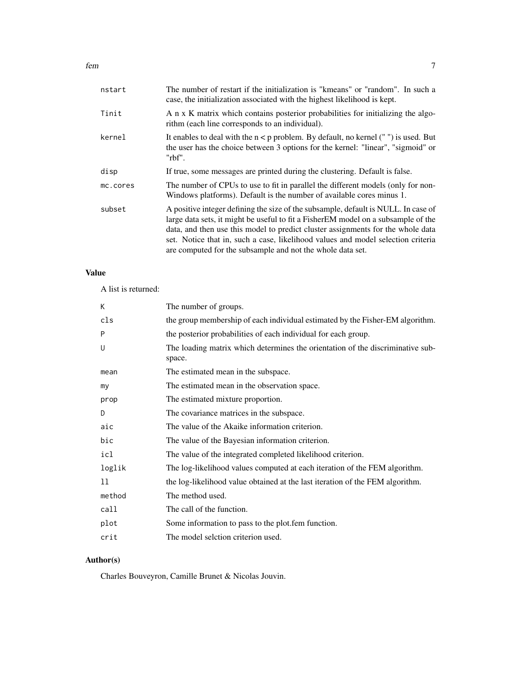| nstart   | The number of restart if the initialization is "kmeans" or "random". In such a<br>case, the initialization associated with the highest likelihood is kept.                                                                                                                                                                                                                                                    |
|----------|---------------------------------------------------------------------------------------------------------------------------------------------------------------------------------------------------------------------------------------------------------------------------------------------------------------------------------------------------------------------------------------------------------------|
| Tinit    | A n x K matrix which contains posterior probabilities for initializing the algo-<br>rithm (each line corresponds to an individual).                                                                                                                                                                                                                                                                           |
| kernel   | It enables to deal with the $n < p$ problem. By default, no kernel ("") is used. But<br>the user has the choice between 3 options for the kernel: "linear", "sigmoid" or<br>"rbf".                                                                                                                                                                                                                            |
| disp     | If true, some messages are printed during the clustering. Default is false.                                                                                                                                                                                                                                                                                                                                   |
| mc.cores | The number of CPUs to use to fit in parallel the different models (only for non-<br>Windows platforms). Default is the number of available cores minus 1.                                                                                                                                                                                                                                                     |
| subset   | A positive integer defining the size of the subsample, default is NULL. In case of<br>large data sets, it might be useful to fit a Fisher EM model on a subsample of the<br>data, and then use this model to predict cluster assignments for the whole data<br>set. Notice that in, such a case, likelihood values and model selection criteria<br>are computed for the subsample and not the whole data set. |

#### Value

A list is returned:

| К       | The number of groups.                                                                    |
|---------|------------------------------------------------------------------------------------------|
| cls     | the group membership of each individual estimated by the Fisher-EM algorithm.            |
| P       | the posterior probabilities of each individual for each group.                           |
| U       | The loading matrix which determines the orientation of the discriminative sub-<br>space. |
| mean    | The estimated mean in the subspace.                                                      |
| my      | The estimated mean in the observation space.                                             |
| prop    | The estimated mixture proportion.                                                        |
| D       | The covariance matrices in the subspace.                                                 |
| aic     | The value of the Akaike information criterion.                                           |
| bic     | The value of the Bayesian information criterion.                                         |
| icl     | The value of the integrated completed likelihood criterion.                              |
| loglik  | The log-likelihood values computed at each iteration of the FEM algorithm.               |
| $_{11}$ | the log-likelihood value obtained at the last iteration of the FEM algorithm.            |
| method  | The method used.                                                                         |
| call    | The call of the function.                                                                |
| plot    | Some information to pass to the plot.fem function.                                       |
| crit    | The model selction criterion used.                                                       |

### Author(s)

Charles Bouveyron, Camille Brunet & Nicolas Jouvin.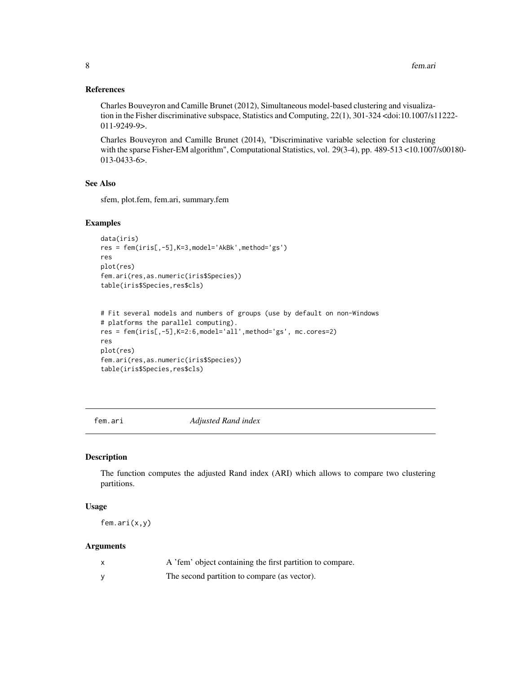#### <span id="page-7-0"></span>References

Charles Bouveyron and Camille Brunet (2012), Simultaneous model-based clustering and visualization in the Fisher discriminative subspace, Statistics and Computing, 22(1), 301-324 <doi:10.1007/s11222- 011-9249-9>.

Charles Bouveyron and Camille Brunet (2014), "Discriminative variable selection for clustering with the sparse Fisher-EM algorithm", Computational Statistics, vol. 29(3-4), pp. 489-513 <10.1007/s00180- 013-0433-6>.

#### See Also

sfem, plot.fem, fem.ari, summary.fem

#### Examples

```
data(iris)
res = fem(iris[,-5],K=3,model='AkBk',method='gs')
res
plot(res)
fem.ari(res,as.numeric(iris$Species))
table(iris$Species,res$cls)
```

```
# Fit several models and numbers of groups (use by default on non-Windows
# platforms the parallel computing).
res = fem(iris[,-5],K=2:6,model='all',method='gs', mc.cores=2)
res
plot(res)
fem.ari(res,as.numeric(iris$Species))
table(iris$Species,res$cls)
```
fem.ari *Adjusted Rand index*

#### Description

The function computes the adjusted Rand index (ARI) which allows to compare two clustering partitions.

#### Usage

fem.ari(x,y)

| A 'fem' object containing the first partition to compare. |
|-----------------------------------------------------------|
| The second partition to compare (as vector).              |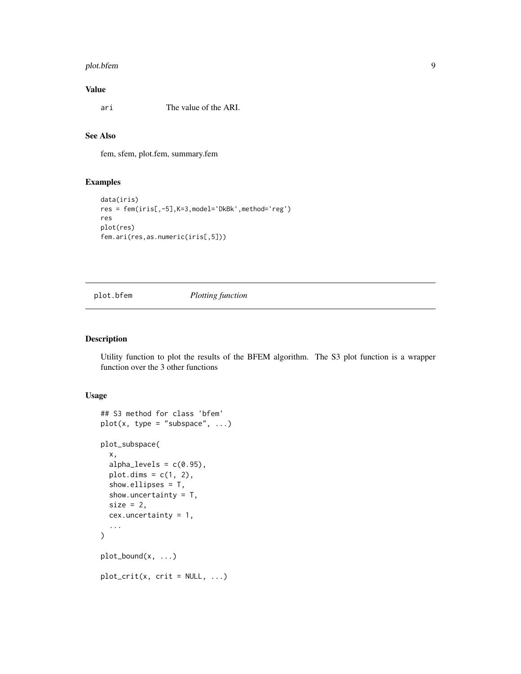#### <span id="page-8-0"></span>plot.bfem 9

#### Value

ari The value of the ARI.

#### See Also

fem, sfem, plot.fem, summary.fem

#### Examples

```
data(iris)
res = fem(iris[,-5],K=3,model='DkBk',method='reg')
res
plot(res)
fem.ari(res,as.numeric(iris[,5]))
```
### plot.bfem *Plotting function*

#### Description

Utility function to plot the results of the BFEM algorithm. The S3 plot function is a wrapper function over the 3 other functions

#### Usage

```
## S3 method for class 'bfem'
plot(x, type = "subspace", ...)plot_subspace(
  x,
  alpha_levels = c(0.95),
 plot.dims = c(1, 2),
  show.ellipses = T,
  show.uncertainty = T,
  size = 2,
  cex.uncertainty = 1,
  ...
\mathcal{L}plot_bound(x, ...)
plot\_crit(x, crit = NULL, ...)
```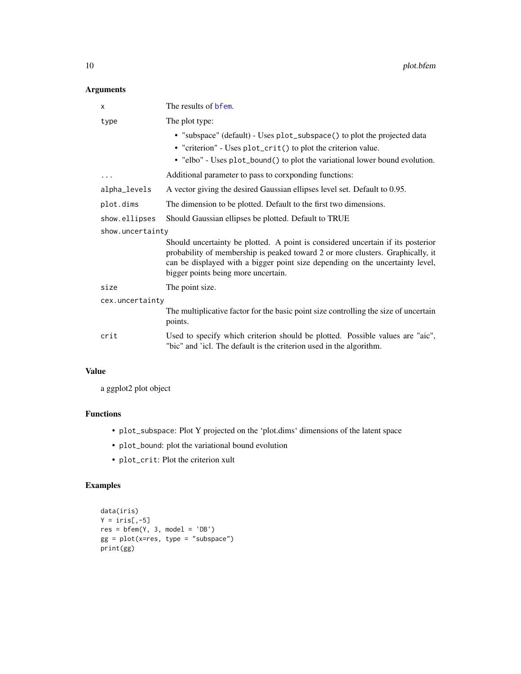#### <span id="page-9-0"></span>Arguments

| x                | The results of bfem.                                                                                                                                                                                                                                                                      |
|------------------|-------------------------------------------------------------------------------------------------------------------------------------------------------------------------------------------------------------------------------------------------------------------------------------------|
| type             | The plot type:                                                                                                                                                                                                                                                                            |
|                  | • "subspace" (default) - Uses plot_subspace () to plot the projected data<br>• "criterion" - Uses plot_crit() to plot the criterion value.                                                                                                                                                |
|                  | • "elbo" - Uses plot_bound() to plot the variational lower bound evolution.                                                                                                                                                                                                               |
| $\cdots$         | Additional parameter to pass to corxponding functions:                                                                                                                                                                                                                                    |
| alpha_levels     | A vector giving the desired Gaussian ellipses level set. Default to 0.95.                                                                                                                                                                                                                 |
| plot.dims        | The dimension to be plotted. Default to the first two dimensions.                                                                                                                                                                                                                         |
| show.ellipses    | Should Gaussian ellipses be plotted. Default to TRUE                                                                                                                                                                                                                                      |
| show.uncertainty |                                                                                                                                                                                                                                                                                           |
|                  | Should uncertainty be plotted. A point is considered uncertain if its posterior<br>probability of membership is peaked toward 2 or more clusters. Graphically, it<br>can be displayed with a bigger point size depending on the uncertainty level,<br>bigger points being more uncertain. |
| size             | The point size.                                                                                                                                                                                                                                                                           |
| cex.uncertainty  |                                                                                                                                                                                                                                                                                           |
|                  | The multiplicative factor for the basic point size controlling the size of uncertain<br>points.                                                                                                                                                                                           |
| crit             | Used to specify which criterion should be plotted. Possible values are "aic",<br>"bic" and 'icl. The default is the criterion used in the algorithm.                                                                                                                                      |

#### Value

a ggplot2 plot object

#### Functions

- plot\_subspace: Plot Y projected on the 'plot.dims' dimensions of the latent space
- plot\_bound: plot the variational bound evolution
- plot\_crit: Plot the criterion xult

#### Examples

```
data(iris)
Y = \text{iris}[, -5]res = bfem(Y, 3, model = 'DB')gg = plot(x=res, type = "subspace")print(gg)
```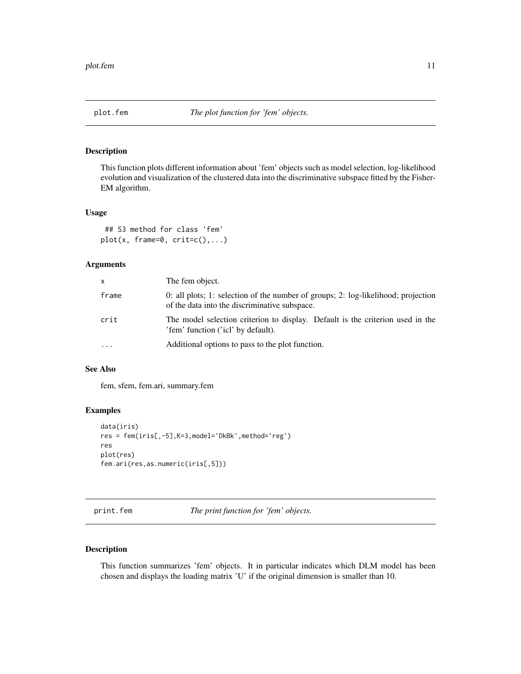<span id="page-10-0"></span>

This function plots different information about 'fem' objects such as model selection, log-likelihood evolution and visualization of the clustered data into the discriminative subspace fitted by the Fisher-EM algorithm.

#### Usage

```
## S3 method for class 'fem'
plot(x, frame=0, crit=c(),...)
```
#### Arguments

| X.       | The fem object.                                                                                                                    |
|----------|------------------------------------------------------------------------------------------------------------------------------------|
| frame    | 0: all plots; 1: selection of the number of groups; 2: log-likelihood; projection<br>of the data into the discriminative subspace. |
| crit     | The model selection criterion to display. Default is the criterion used in the<br>'fem' function ('icl' by default).               |
| $\ddots$ | Additional options to pass to the plot function.                                                                                   |

#### See Also

fem, sfem, fem.ari, summary.fem

#### Examples

```
data(iris)
res = fem(iris[,-5],K=3,model='DkBk',method='reg')
res
plot(res)
fem.ari(res,as.numeric(iris[,5]))
```
print.fem *The print function for 'fem' objects.*

#### Description

This function summarizes 'fem' objects. It in particular indicates which DLM model has been chosen and displays the loading matrix 'U' if the original dimension is smaller than 10.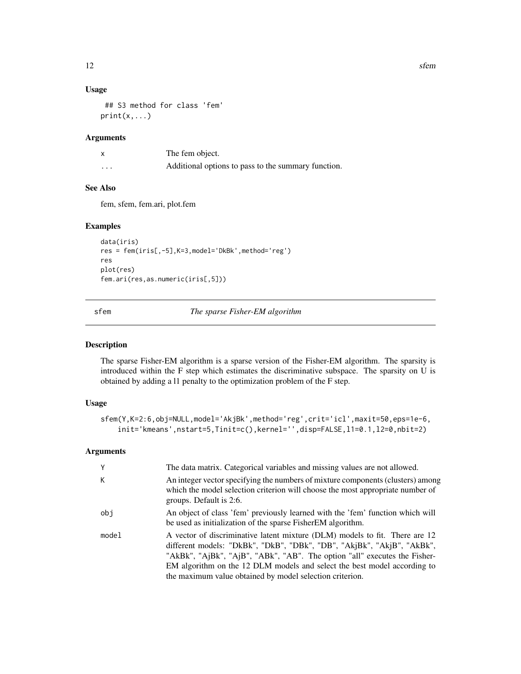#### <span id="page-11-0"></span>Usage

```
## S3 method for class 'fem'
print(x, \ldots)
```
#### Arguments

|          | The fem object.                                     |
|----------|-----------------------------------------------------|
| $\cdots$ | Additional options to pass to the summary function. |

### See Also

fem, sfem, fem.ari, plot.fem

#### Examples

```
data(iris)
res = fem(iris[,-5],K=3,model='DkBk',method='reg')
res
plot(res)
fem.ari(res,as.numeric(iris[,5]))
```
sfem *The sparse Fisher-EM algorithm*

#### Description

The sparse Fisher-EM algorithm is a sparse version of the Fisher-EM algorithm. The sparsity is introduced within the F step which estimates the discriminative subspace. The sparsity on U is obtained by adding a l1 penalty to the optimization problem of the F step.

#### Usage

```
sfem(Y,K=2:6,obj=NULL,model='AkjBk',method='reg',crit='icl',maxit=50,eps=1e-6,
   init='kmeans',nstart=5,Tinit=c(),kernel='',disp=FALSE,l1=0.1,l2=0,nbit=2)
```

| Y     | The data matrix. Categorical variables and missing values are not allowed.                                                                                                                                                                                                                                                                                                 |
|-------|----------------------------------------------------------------------------------------------------------------------------------------------------------------------------------------------------------------------------------------------------------------------------------------------------------------------------------------------------------------------------|
| К     | An integer vector specifying the numbers of mixture components (clusters) among<br>which the model selection criterion will choose the most appropriate number of<br>groups. Default is 2:6.                                                                                                                                                                               |
| obj   | An object of class 'fem' previously learned with the 'fem' function which will<br>be used as initialization of the sparse Fisher EM algorithm.                                                                                                                                                                                                                             |
| model | A vector of discriminative latent mixture (DLM) models to fit. There are 12<br>different models: "DkBk", "DkB", "DBk", "DB", "AkjBk", "AkjB", "AkBk",<br>"AkBk", "AjBk", "AjB", "ABk", "AB". The option "all" executes the Fisher-<br>EM algorithm on the 12 DLM models and select the best model according to<br>the maximum value obtained by model selection criterion. |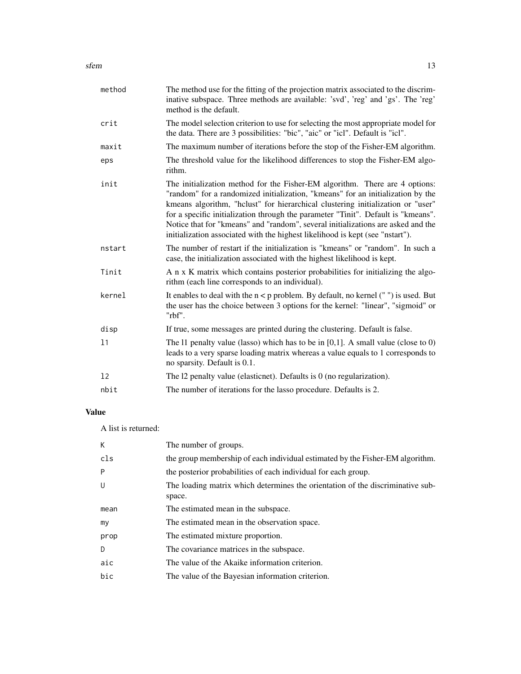| method | The method use for the fitting of the projection matrix associated to the discrim-<br>inative subspace. Three methods are available: 'svd', 'reg' and 'gs'. The 'reg'<br>method is the default.                                                                                                                                                                                                                                                                                                             |
|--------|-------------------------------------------------------------------------------------------------------------------------------------------------------------------------------------------------------------------------------------------------------------------------------------------------------------------------------------------------------------------------------------------------------------------------------------------------------------------------------------------------------------|
| crit   | The model selection criterion to use for selecting the most appropriate model for<br>the data. There are 3 possibilities: "bic", "aic" or "icl". Default is "icl".                                                                                                                                                                                                                                                                                                                                          |
| maxit  | The maximum number of iterations before the stop of the Fisher-EM algorithm.                                                                                                                                                                                                                                                                                                                                                                                                                                |
| eps    | The threshold value for the likelihood differences to stop the Fisher-EM algo-<br>rithm.                                                                                                                                                                                                                                                                                                                                                                                                                    |
| init   | The initialization method for the Fisher-EM algorithm. There are 4 options:<br>"random" for a randomized initialization, "kmeans" for an initialization by the<br>kmeans algorithm, "hclust" for hierarchical clustering initialization or "user"<br>for a specific initialization through the parameter "Tinit". Default is "kmeans".<br>Notice that for "kmeans" and "random", several initializations are asked and the<br>initialization associated with the highest likelihood is kept (see "nstart"). |
| nstart | The number of restart if the initialization is "kmeans" or "random". In such a<br>case, the initialization associated with the highest likelihood is kept.                                                                                                                                                                                                                                                                                                                                                  |
| Tinit  | A n x K matrix which contains posterior probabilities for initializing the algo-<br>rithm (each line corresponds to an individual).                                                                                                                                                                                                                                                                                                                                                                         |
| kernel | It enables to deal with the $n < p$ problem. By default, no kernel $("")$ is used. But<br>the user has the choice between 3 options for the kernel: "linear", "sigmoid" or<br>"rbf".                                                                                                                                                                                                                                                                                                                        |
| disp   | If true, some messages are printed during the clustering. Default is false.                                                                                                                                                                                                                                                                                                                                                                                                                                 |
| 11     | The 11 penalty value (lasso) which has to be in $[0,1]$ . A small value (close to 0)<br>leads to a very sparse loading matrix whereas a value equals to 1 corresponds to<br>no sparsity. Default is 0.1.                                                                                                                                                                                                                                                                                                    |
| 12     | The 12 penalty value (elasticnet). Defaults is $0$ (no regularization).                                                                                                                                                                                                                                                                                                                                                                                                                                     |
| nbit   | The number of iterations for the lasso procedure. Defaults is 2.                                                                                                                                                                                                                                                                                                                                                                                                                                            |
|        |                                                                                                                                                                                                                                                                                                                                                                                                                                                                                                             |

#### Value

A list is returned:

| К    | The number of groups.                                                                    |
|------|------------------------------------------------------------------------------------------|
| cls  | the group membership of each individual estimated by the Fisher-EM algorithm.            |
| P    | the posterior probabilities of each individual for each group.                           |
| U    | The loading matrix which determines the orientation of the discriminative sub-<br>space. |
| mean | The estimated mean in the subspace.                                                      |
| my   | The estimated mean in the observation space.                                             |
| prop | The estimated mixture proportion.                                                        |
| D    | The covariance matrices in the subspace.                                                 |
| aic  | The value of the Akaike information criterion.                                           |
| bic  | The value of the Bayesian information criterion.                                         |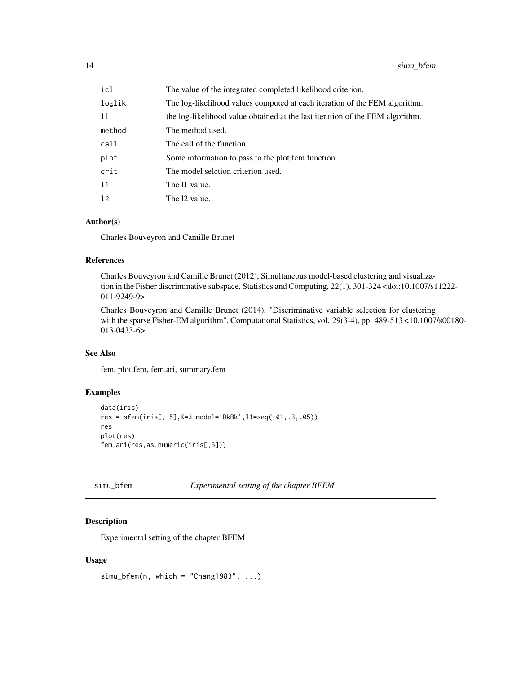<span id="page-13-0"></span>

| icl    | The value of the integrated completed likelihood criterion.                   |
|--------|-------------------------------------------------------------------------------|
| loglik | The log-likelihood values computed at each iteration of the FEM algorithm.    |
| 11     | the log-likelihood value obtained at the last iteration of the FEM algorithm. |
| method | The method used.                                                              |
| call   | The call of the function.                                                     |
| plot   | Some information to pass to the plot. fem function.                           |
| crit   | The model selction criterion used.                                            |
| 11     | The 11 value.                                                                 |
| 12     | The 12 value.                                                                 |

#### Author(s)

Charles Bouveyron and Camille Brunet

#### References

Charles Bouveyron and Camille Brunet (2012), Simultaneous model-based clustering and visualization in the Fisher discriminative subspace, Statistics and Computing, 22(1), 301-324 <doi:10.1007/s11222- 011-9249-9>.

Charles Bouveyron and Camille Brunet (2014), "Discriminative variable selection for clustering with the sparse Fisher-EM algorithm", Computational Statistics, vol. 29(3-4), pp. 489-513 <10.1007/s00180-013-0433-6>.

#### See Also

fem, plot.fem, fem.ari, summary.fem

#### Examples

```
data(iris)
res = sfem(iris[,-5],K=3,model='DkBk',l1=seq(.01,.3,.05))
res
plot(res)
fem.ari(res,as.numeric(iris[,5]))
```
simu\_bfem *Experimental setting of the chapter BFEM*

#### Description

Experimental setting of the chapter BFEM

#### Usage

```
sim_bfem(n, which = "Chang1983", ...)
```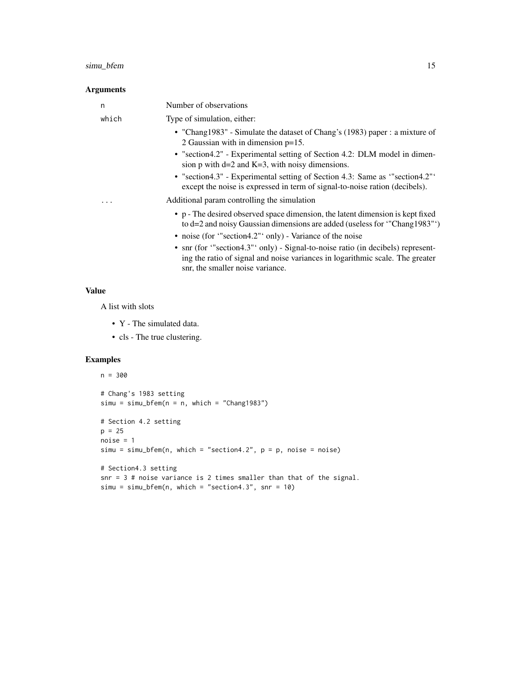#### simu\_bfem 15

#### Arguments

| n     | Number of observations                                                                                                                                                                                                |
|-------|-----------------------------------------------------------------------------------------------------------------------------------------------------------------------------------------------------------------------|
| which | Type of simulation, either:                                                                                                                                                                                           |
|       | • "Chang1983" - Simulate the dataset of Chang's (1983) paper : a mixture of<br>2 Gaussian with in dimension $p=15$ .                                                                                                  |
|       | • "section4.2" - Experimental setting of Section 4.2: DLM model in dimen-<br>sion $p$ with $d=2$ and $K=3$ , with noisy dimensions.                                                                                   |
|       | • "section4.3" - Experimental setting of Section 4.3: Same as "section4.2"<br>except the noise is expressed in term of signal-to-noise ration (decibels).                                                             |
|       | Additional param controlling the simulation                                                                                                                                                                           |
|       | • p - The desired observed space dimension, the latent dimension is kept fixed<br>to d=2 and noisy Gaussian dimensions are added (useless for "Chang1983")<br>• noise (for "section4.2" only) - Variance of the noise |
|       | • snr (for "section4.3" only) - Signal-to-noise ratio (in decibels) represent-                                                                                                                                        |
|       | ing the ratio of signal and noise variances in logarithmic scale. The greater<br>snr, the smaller noise variance.                                                                                                     |

#### Value

A list with slots

- Y The simulated data.
- cls The true clustering.

#### Examples

```
n = 300
# Chang's 1983 setting
sim = simu_bfem(n = n, which = "Chang1983")# Section 4.2 setting
p = 25noise = 1
simu = simu_bfem(n, which = "section4.2", p = p, noise = noise)
# Section4.3 setting
snr = 3 # noise variance is 2 times smaller than that of the signal.
simu = simu_bfem(n, which = "section4.3", snr = 10)
```